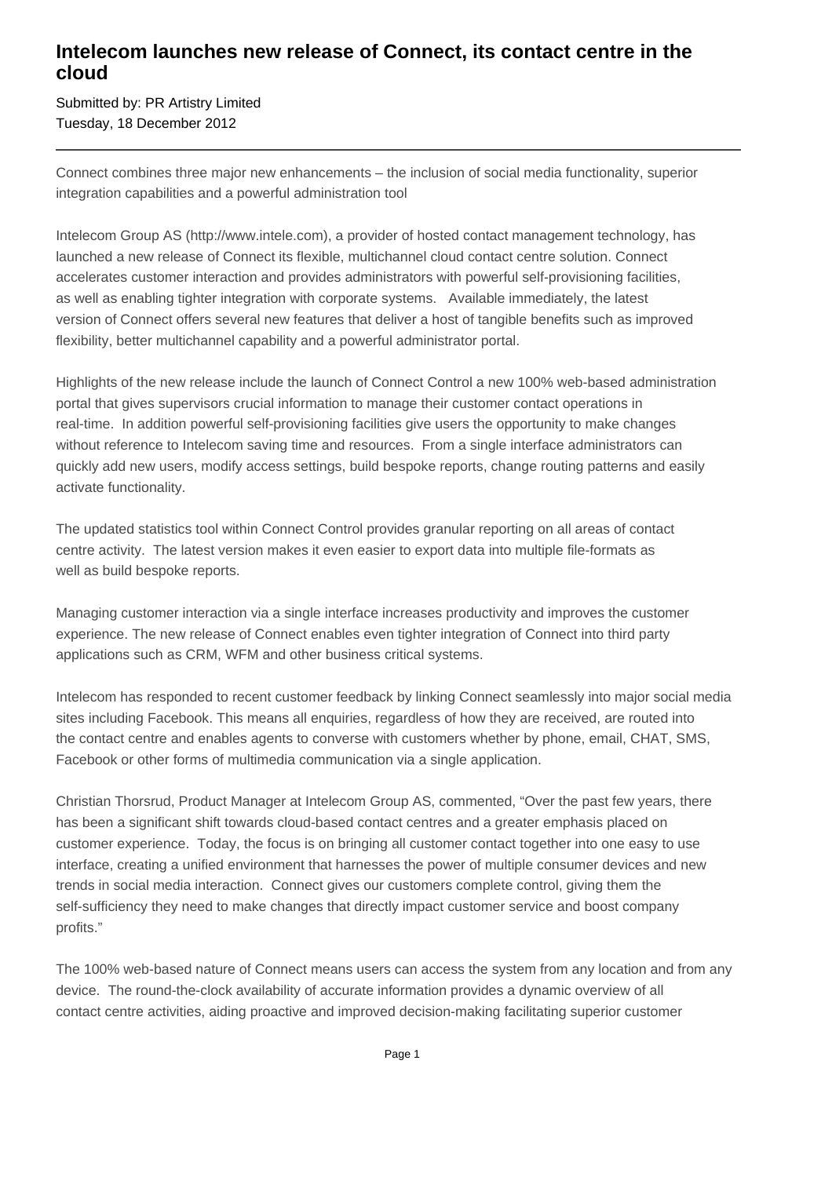## **Intelecom launches new release of Connect, its contact centre in the cloud**

Submitted by: PR Artistry Limited Tuesday, 18 December 2012

Connect combines three major new enhancements – the inclusion of social media functionality, superior integration capabilities and a powerful administration tool

Intelecom Group AS (http://www.intele.com), a provider of hosted contact management technology, has launched a new release of Connect its flexible, multichannel cloud contact centre solution. Connect accelerates customer interaction and provides administrators with powerful self-provisioning facilities, as well as enabling tighter integration with corporate systems. Available immediately, the latest version of Connect offers several new features that deliver a host of tangible benefits such as improved flexibility, better multichannel capability and a powerful administrator portal.

Highlights of the new release include the launch of Connect Control a new 100% web-based administration portal that gives supervisors crucial information to manage their customer contact operations in real-time. In addition powerful self-provisioning facilities give users the opportunity to make changes without reference to Intelecom saving time and resources. From a single interface administrators can quickly add new users, modify access settings, build bespoke reports, change routing patterns and easily activate functionality.

The updated statistics tool within Connect Control provides granular reporting on all areas of contact centre activity. The latest version makes it even easier to export data into multiple file-formats as well as build bespoke reports.

Managing customer interaction via a single interface increases productivity and improves the customer experience. The new release of Connect enables even tighter integration of Connect into third party applications such as CRM, WFM and other business critical systems.

Intelecom has responded to recent customer feedback by linking Connect seamlessly into major social media sites including Facebook. This means all enquiries, regardless of how they are received, are routed into the contact centre and enables agents to converse with customers whether by phone, email, CHAT, SMS, Facebook or other forms of multimedia communication via a single application.

Christian Thorsrud, Product Manager at Intelecom Group AS, commented, "Over the past few years, there has been a significant shift towards cloud-based contact centres and a greater emphasis placed on customer experience. Today, the focus is on bringing all customer contact together into one easy to use interface, creating a unified environment that harnesses the power of multiple consumer devices and new trends in social media interaction. Connect gives our customers complete control, giving them the self-sufficiency they need to make changes that directly impact customer service and boost company profits."

The 100% web-based nature of Connect means users can access the system from any location and from any device. The round-the-clock availability of accurate information provides a dynamic overview of all contact centre activities, aiding proactive and improved decision-making facilitating superior customer